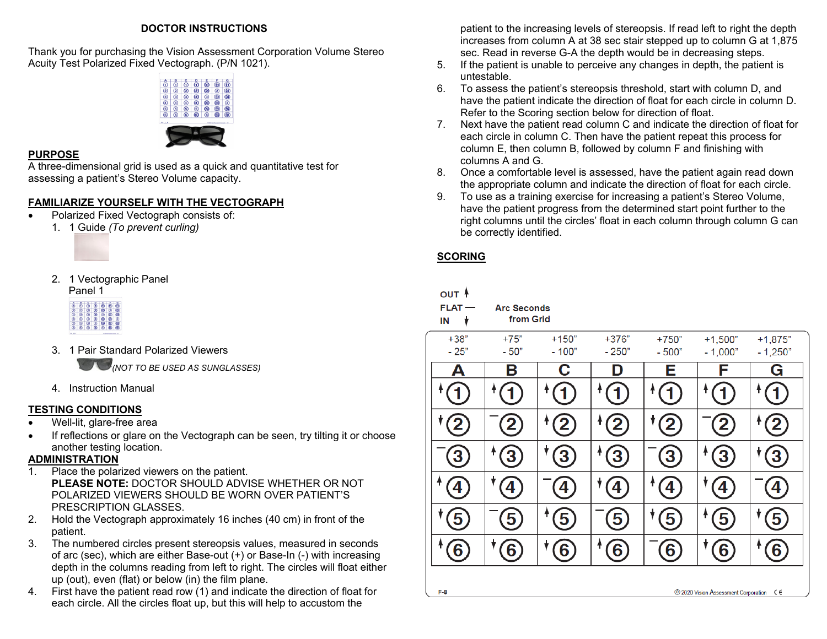# **DOCTOR INSTRUCTIONS**

Thank you for purchasing the Vision Assessment Corporation Volume Stereo Acuity Test Polarized Fixed Vectograph. (P/N 1021).



#### **PURPOSE**

 A three-dimensional grid is used as a quick and quantitative test for assessing a patient's Stereo Volume capacity.

## **FAMILIARIZE YOURSELF WITH THE VECTOGRAPH**

- Polarized Fixed Vectograph consists of:
	- 1. 1 Guide *(To prevent curling)*
	- 2. 1 Vectographic Panel Panel 1



3. 1 Pair Standard Polarized Viewers

*(NOT TO BE USED AS SUNGLASSES)* 

4. Instruction Manual

## **TESTING CONDITIONS**

- Well-lit, glare-free area
- If reflections or glare on the Vectograph can be seen, try tilting it or choose another testing location.

## **ADMINISTRATION**

- 1. Place the polarized viewers on the patient. **PLEASE NOTE:** DOCTOR SHOULD ADVISE WHETHER OR NOT POLARIZED VIEWERS SHOULD BE WORN OVER PATIENT'S PRESCRIPTION GLASSES.
- 2. Hold the Vectograph approximately 16 inches (40 cm) in front of the patient.
- 3. The numbered circles present stereopsis values, measured in seconds of arc (sec), which are either Base-out (+) or Base-In (-) with increasing depth in the columns reading from left to right. The circles will float either up (out), even (flat) or below (in) the film plane.
- 4. First have the patient read row (1) and indicate the direction of float for each circle. All the circles float up, but this will help to accustom the

patient to the increasing levels of stereopsis. If read left to right the depth increases from column A at 38 sec stair stepped up to column G at 1,875 sec. Read in reverse G-A the depth would be in decreasing steps.

- 5. If the patient is unable to perceive any changes in depth, the patient is untestable.
- 6. To assess the patient's stereopsis threshold, start with column D, and have the patient indicate the direction of float for each circle in column D. Refer to the Scoring section below for direction of float.
- 7. Next have the patient read column C and indicate the direction of float for each circle in column C. Then have the patient repeat this process for column E, then column B, followed by column F and finishing with columns A and G.
- 8. Once a comfortable level is assessed, have the patient again read down the appropriate column and indicate the direction of float for each circle.
- 9. To use as a training exercise for increasing a patient's Stereo Volume, have the patient progress from the determined start point further to the right columns until the circles' float in each column through column G can be correctly identified.

# **SCORING**

|--|--|

 $FLAT -$ **Arc Seconds** 

from Grid IN -∗